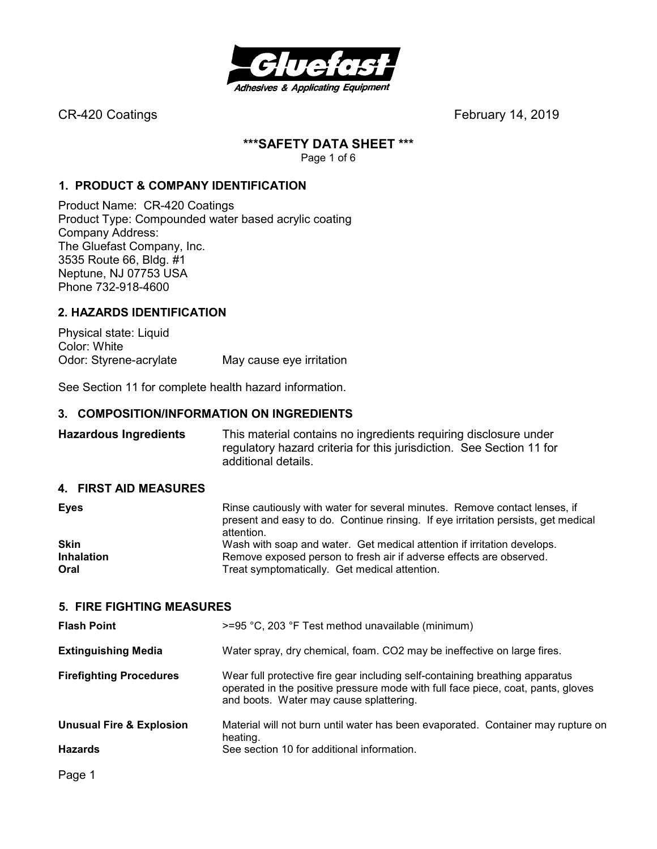

#### **\*\*\*SAFETY DATA SHEET \*\*\***

Page 1 of 6

#### **1. PRODUCT & COMPANY IDENTIFICATION**

Product Name: CR-420 Coatings Product Type: Compounded water based acrylic coating Company Address: The Gluefast Company, Inc. 3535 Route 66, Bldg. #1 Neptune, NJ 07753 USA Phone 732-918-4600

#### **2. HAZARDS IDENTIFICATION**

Physical state: Liquid Color: White Odor: Styrene-acrylate May cause eye irritation

See Section 11 for complete health hazard information.

#### **3. COMPOSITION/INFORMATION ON INGREDIENTS**

**Hazardous Ingredients** This material contains no ingredients requiring disclosure under regulatory hazard criteria for this jurisdiction. See Section 11 for additional details.

#### **4. FIRST AID MEASURES**

| <b>Eyes</b>       | Rinse cautiously with water for several minutes. Remove contact lenses, if<br>present and easy to do. Continue rinsing. If eye irritation persists, get medical<br>attention. |
|-------------------|-------------------------------------------------------------------------------------------------------------------------------------------------------------------------------|
| <b>Skin</b>       | Wash with soap and water. Get medical attention if irritation develops.                                                                                                       |
| <b>Inhalation</b> | Remove exposed person to fresh air if adverse effects are observed.                                                                                                           |
| Oral              | Treat symptomatically. Get medical attention.                                                                                                                                 |

#### **5. FIRE FIGHTING MEASURES**

| <b>Flash Point</b>                  | $>=$ 95 °C, 203 °F Test method unavailable (minimum)                                                                                                                                                        |  |  |
|-------------------------------------|-------------------------------------------------------------------------------------------------------------------------------------------------------------------------------------------------------------|--|--|
| <b>Extinguishing Media</b>          | Water spray, dry chemical, foam. CO2 may be ineffective on large fires.                                                                                                                                     |  |  |
| <b>Firefighting Procedures</b>      | Wear full protective fire gear including self-containing breathing apparatus<br>operated in the positive pressure mode with full face piece, coat, pants, gloves<br>and boots. Water may cause splattering. |  |  |
| <b>Unusual Fire &amp; Explosion</b> | Material will not burn until water has been evaporated. Container may rupture on<br>heating.                                                                                                                |  |  |
| <b>Hazards</b>                      | See section 10 for additional information.                                                                                                                                                                  |  |  |
|                                     |                                                                                                                                                                                                             |  |  |

Page 1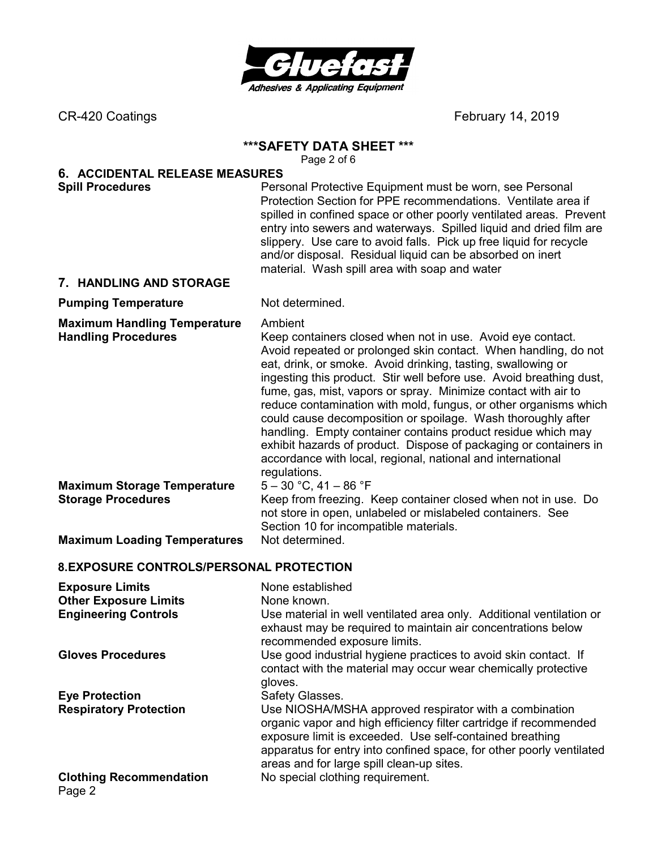

#### **\*\*\*SAFETY DATA SHEET \*\*\***

Page 2 of 6

# **6. ACCIDENTAL RELEASE MEASURES**

**Spill Procedures Personal Protective Equipment must be worn, see Personal Protective Equipment must be worn, see Personal** Protection Section for PPE recommendations. Ventilate area if spilled in confined space or other poorly ventilated areas. Prevent entry into sewers and waterways. Spilled liquid and dried film are slippery. Use care to avoid falls. Pick up free liquid for recycle and/or disposal. Residual liquid can be absorbed on inert material. Wash spill area with soap and water

#### **7. HANDLING AND STORAGE**

#### **Pumping Temperature** Not determined.

**Maximum Handling Temperature** Ambient

**Handling Procedures** Keep containers closed when not in use. Avoid eye contact. Avoid repeated or prolonged skin contact. When handling, do not eat, drink, or smoke. Avoid drinking, tasting, swallowing or ingesting this product. Stir well before use. Avoid breathing dust, fume, gas, mist, vapors or spray. Minimize contact with air to reduce contamination with mold, fungus, or other organisms which could cause decomposition or spoilage. Wash thoroughly after handling. Empty container contains product residue which may exhibit hazards of product. Dispose of packaging or containers in accordance with local, regional, national and international regulations.

**Maximum Storage Temperature** 5 – 30 °C, 41 – 86 °F

**Storage Procedures Keep from freezing. Keep container closed when not in use. Do** not store in open, unlabeled or mislabeled containers. See Section 10 for incompatible materials.

**Maximum Loading Temperatures** Not determined.

#### **8. EXPOSURE CONTROLS/PERSONAL PROTECTION**

| <b>Exposure Limits</b><br><b>Other Exposure Limits</b><br><b>Engineering Controls</b> | None established<br>None known.<br>Use material in well ventilated area only. Additional ventilation or<br>exhaust may be required to maintain air concentrations below<br>recommended exposure limits.                                                                                                      |
|---------------------------------------------------------------------------------------|--------------------------------------------------------------------------------------------------------------------------------------------------------------------------------------------------------------------------------------------------------------------------------------------------------------|
| <b>Gloves Procedures</b>                                                              | Use good industrial hygiene practices to avoid skin contact. If<br>contact with the material may occur wear chemically protective<br>gloves.                                                                                                                                                                 |
| <b>Eye Protection</b>                                                                 | Safety Glasses.                                                                                                                                                                                                                                                                                              |
| <b>Respiratory Protection</b>                                                         | Use NIOSHA/MSHA approved respirator with a combination<br>organic vapor and high efficiency filter cartridge if recommended<br>exposure limit is exceeded. Use self-contained breathing<br>apparatus for entry into confined space, for other poorly ventilated<br>areas and for large spill clean-up sites. |
| <b>Clothing Recommendation</b><br>Page 2                                              | No special clothing requirement.                                                                                                                                                                                                                                                                             |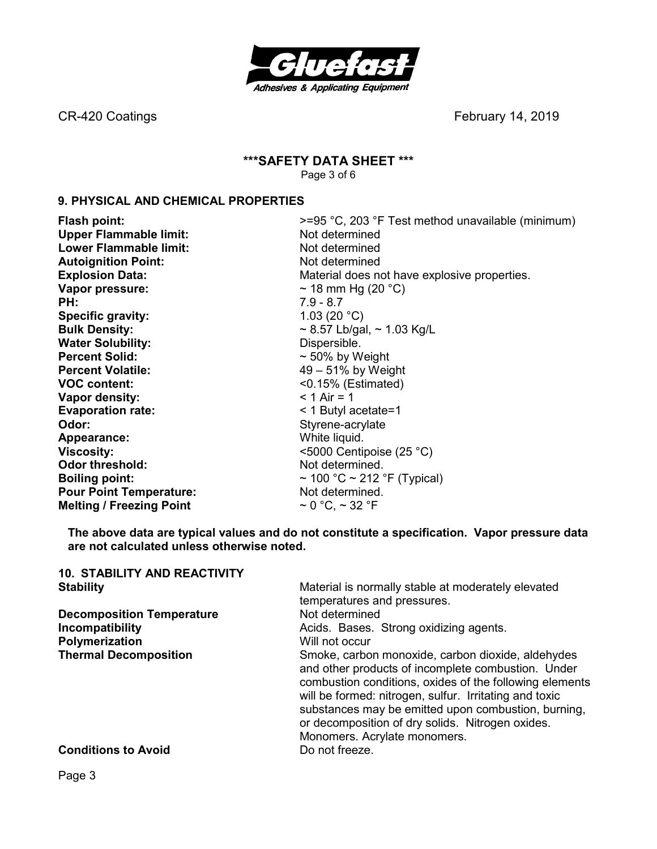

# **\*\*\*SAFETY DATA SHEET \*\*\***

Page 3 of 6

### **9. PHYSICAL AND CHEMICAL PROPERTIES**

Upper Flammable limit: Not determined **Lower Flammable limit:** Not determined **Autoignition Point:** Not determined **Vapor pressure:**  $\sim$  18 mm Hg (20 °C)<br> **PH:** 7.9 - 8.7 **Specific gravity:** 1.03 (20 °C) **Bulk Density:**  $\sim$  8.57 Lb/gal,  $\sim$  1.03 Kg/L **Water Solubility:** Dispersible. **Percent Solid:**  $\sim$  50% by Weight **Percent Volatile: 19 – 51% by Weight VOC content:** <0.15% (Estimated) **Vapor density:**  $\leq 1 \text{ Air} = 1$ **Evaporation rate:**  $\leq 1$  Butyl acetate=1 **Odor:** Styrene-acrylate **Appearance:** White liquid. **Viscosity:**  $\leq$  5000 Centipoise (25 °C) **Odor threshold:** Not determined. **Pour Point Temperature:** Not determined. **Melting / Freezing Point**  $\sim 0 \degree C$ **,**  $\sim 32 \degree F$ 

**Flash point: Flash point: Property Property Property Property Property Property Property Property Property Property Property Property Property Property Property Property Property Prop Explosion Data: Explosion Data: Material does not have explosive properties. PH:** 7.9 - 8.7 **Boiling point:**  $\sim 100 \degree C \sim 212 \degree F$  (Typical)

**The above data are typical values and do not constitute a specification. Vapor pressure data are not calculated unless otherwise noted.** 

| <b>10. STABILITY AND REACTIVITY</b> |                                                                                                                                                                                                                                                                                                                                                                         |
|-------------------------------------|-------------------------------------------------------------------------------------------------------------------------------------------------------------------------------------------------------------------------------------------------------------------------------------------------------------------------------------------------------------------------|
| <b>Stability</b>                    | Material is normally stable at moderately elevated                                                                                                                                                                                                                                                                                                                      |
|                                     | temperatures and pressures.                                                                                                                                                                                                                                                                                                                                             |
| <b>Decomposition Temperature</b>    | Not determined                                                                                                                                                                                                                                                                                                                                                          |
| Incompatibility                     | Acids. Bases. Strong oxidizing agents.                                                                                                                                                                                                                                                                                                                                  |
| Polymerization                      | Will not occur                                                                                                                                                                                                                                                                                                                                                          |
| <b>Thermal Decomposition</b>        | Smoke, carbon monoxide, carbon dioxide, aldehydes<br>and other products of incomplete combustion. Under<br>combustion conditions, oxides of the following elements<br>will be formed: nitrogen, sulfur. Irritating and toxic<br>substances may be emitted upon combustion, burning,<br>or decomposition of dry solids. Nitrogen oxides.<br>Monomers. Acrylate monomers. |
| <b>Conditions to Avoid</b>          | Do not freeze.                                                                                                                                                                                                                                                                                                                                                          |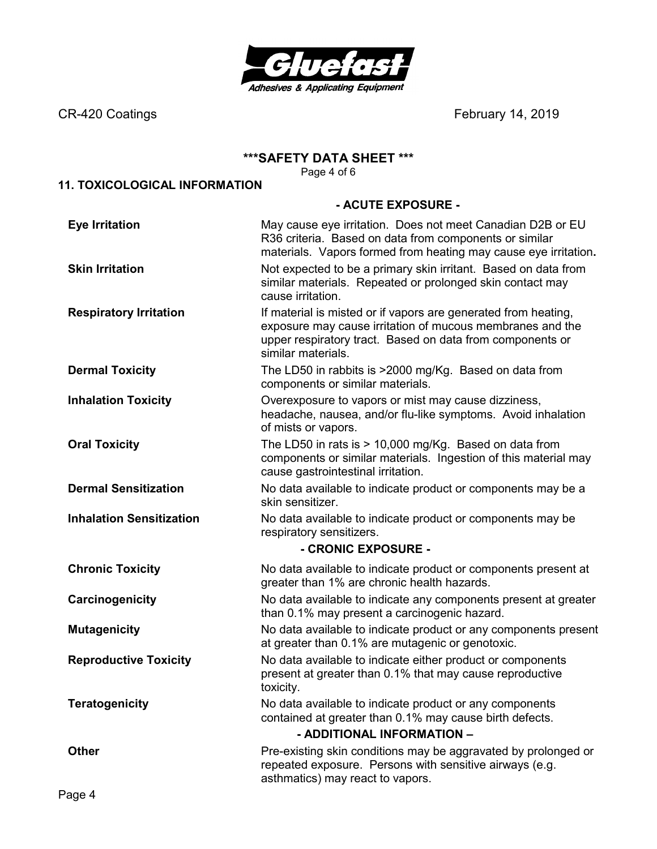

#### **\*\*\*SAFETY DATA SHEET \*\*\***

Page 4 of 6

# **11. TOXICOLOGICAL INFORMATION**

#### **- ACUTE EXPOSURE -**

| <b>Eye Irritation</b>           | May cause eye irritation. Does not meet Canadian D2B or EU<br>R36 criteria. Based on data from components or similar<br>materials. Vapors formed from heating may cause eye irritation.                        |  |
|---------------------------------|----------------------------------------------------------------------------------------------------------------------------------------------------------------------------------------------------------------|--|
| <b>Skin Irritation</b>          | Not expected to be a primary skin irritant. Based on data from<br>similar materials. Repeated or prolonged skin contact may<br>cause irritation.                                                               |  |
| <b>Respiratory Irritation</b>   | If material is misted or if vapors are generated from heating,<br>exposure may cause irritation of mucous membranes and the<br>upper respiratory tract. Based on data from components or<br>similar materials. |  |
| <b>Dermal Toxicity</b>          | The LD50 in rabbits is >2000 mg/Kg. Based on data from<br>components or similar materials.                                                                                                                     |  |
| <b>Inhalation Toxicity</b>      | Overexposure to vapors or mist may cause dizziness,<br>headache, nausea, and/or flu-like symptoms. Avoid inhalation<br>of mists or vapors.                                                                     |  |
| <b>Oral Toxicity</b>            | The LD50 in rats is > 10,000 mg/Kg. Based on data from<br>components or similar materials. Ingestion of this material may<br>cause gastrointestinal irritation.                                                |  |
| <b>Dermal Sensitization</b>     | No data available to indicate product or components may be a<br>skin sensitizer.                                                                                                                               |  |
| <b>Inhalation Sensitization</b> | No data available to indicate product or components may be<br>respiratory sensitizers.                                                                                                                         |  |
|                                 | - CRONIC EXPOSURE -                                                                                                                                                                                            |  |
| <b>Chronic Toxicity</b>         | No data available to indicate product or components present at<br>greater than 1% are chronic health hazards.                                                                                                  |  |
| Carcinogenicity                 | No data available to indicate any components present at greater<br>than 0.1% may present a carcinogenic hazard.                                                                                                |  |
| <b>Mutagenicity</b>             | No data available to indicate product or any components present<br>at greater than 0.1% are mutagenic or genotoxic.                                                                                            |  |
| <b>Reproductive Toxicity</b>    | No data available to indicate either product or components<br>present at greater than 0.1% that may cause reproductive<br>toxicity.                                                                            |  |
| <b>Teratogenicity</b>           | No data available to indicate product or any components<br>contained at greater than 0.1% may cause birth defects.<br>- ADDITIONAL INFORMATION -                                                               |  |
| <b>Other</b>                    | Pre-existing skin conditions may be aggravated by prolonged or<br>repeated exposure. Persons with sensitive airways (e.g.<br>asthmatics) may react to vapors.                                                  |  |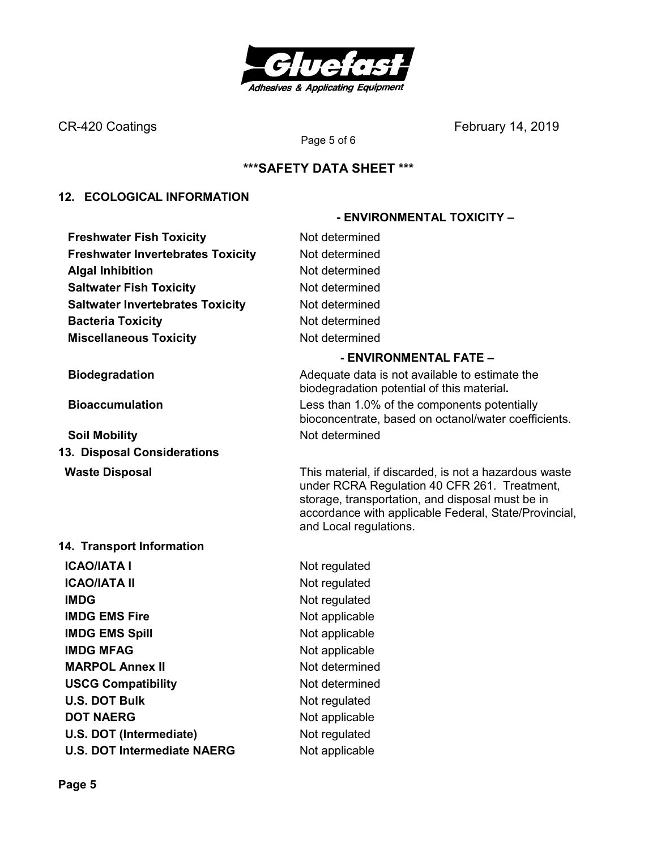

# **\*\*\*SAFETY DATA SHEET \*\*\***

Page 5 of 6

#### **12. ECOLOGICAL INFORMATION**

**Freshwater Fish Toxicity Not determined Freshwater Invertebrates Toxicity Mot determined Algal Inhibition Not determined Saltwater Fish Toxicity Not determined Saltwater Invertebrates Toxicity Mot determined Bacteria Toxicity Not determined Miscellaneous Toxicity** Not determined

**Soil Mobility Not determined 13. Disposal Considerations** 

#### **14. Transport Information**

**ICAO/IATA I** Not regulated **ICAO/IATA II** Not regulated **IMDG** Not regulated **IMDG EMS Fire** Not applicable **IMDG EMS Spill Service Spill Service Spill Service Spill Service Spill Service Spill Service Spill Service Spill Service Spill Service Spill Service Spill Service Spill Service Spill Service Spill Service Spill Service Sp IMDG MFAG** Not applicable **MARPOL Annex II** Not determined **USCG Compatibility Not determined U.S. DOT Bulk** Not regulated **DOT NAERG** Not applicable **U.S. DOT (Intermediate)** Not regulated **U.S. DOT Intermediate NAERG** Not applicable

#### **- ENVIRONMENTAL FATE –**

 **- ENVIRONMENTAL TOXICITY –** 

**Biodegradation Biodegradation Adequate data is not available to estimate the** biodegradation potential of this material**. Bioaccumulation** Less than 1.0% of the components potentially bioconcentrate, based on octanol/water coefficients.

**Waste Disposal** This material, if discarded, is not a hazardous waste under RCRA Regulation 40 CFR 261. Treatment, storage, transportation, and disposal must be in accordance with applicable Federal, State/Provincial, and Local regulations.